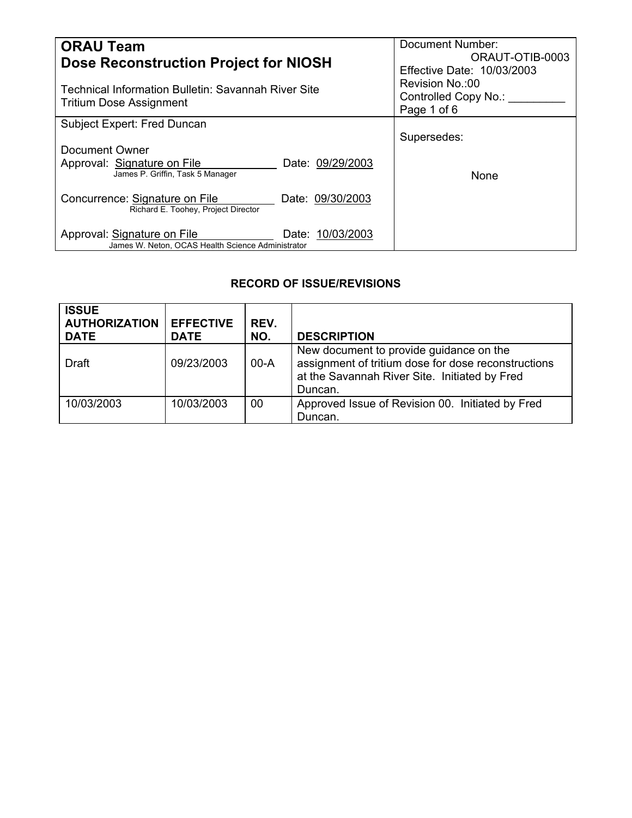| <b>ORAU Team</b><br>Dose Reconstruction Project for NIOSH                                             | Document Number:<br>ORAUT-OTIB-0003<br>Effective Date: 10/03/2003<br>Revision No.:00<br>Controlled Copy No.:<br>Page 1 of 6 |  |
|-------------------------------------------------------------------------------------------------------|-----------------------------------------------------------------------------------------------------------------------------|--|
| <b>Technical Information Bulletin: Savannah River Site</b><br><b>Tritium Dose Assignment</b>          |                                                                                                                             |  |
| Subject Expert: Fred Duncan                                                                           |                                                                                                                             |  |
| Document Owner<br>Approval: Signature on File<br>Date: 09/29/2003<br>James P. Griffin, Task 5 Manager | Supersedes:<br>None                                                                                                         |  |
| Concurrence: Signature on File<br>Date: 09/30/2003<br>Richard E. Toohey, Project Director             |                                                                                                                             |  |
| Approval: Signature on File<br>Date: 10/03/2003<br>James W. Neton, OCAS Health Science Administrator  |                                                                                                                             |  |

# **RECORD OF ISSUE/REVISIONS**

| <b>ISSUE</b><br><b>AUTHORIZATION</b><br><b>DATE</b> | <b>EFFECTIVE</b><br><b>DATE</b> | REV.<br>NO. | <b>DESCRIPTION</b>                                                                                                                                         |
|-----------------------------------------------------|---------------------------------|-------------|------------------------------------------------------------------------------------------------------------------------------------------------------------|
| <b>Draft</b>                                        | 09/23/2003                      | $00-A$      | New document to provide guidance on the<br>assignment of tritium dose for dose reconstructions<br>at the Savannah River Site. Initiated by Fred<br>Duncan. |
| 10/03/2003                                          | 10/03/2003                      | 00          | Approved Issue of Revision 00. Initiated by Fred<br>Duncan.                                                                                                |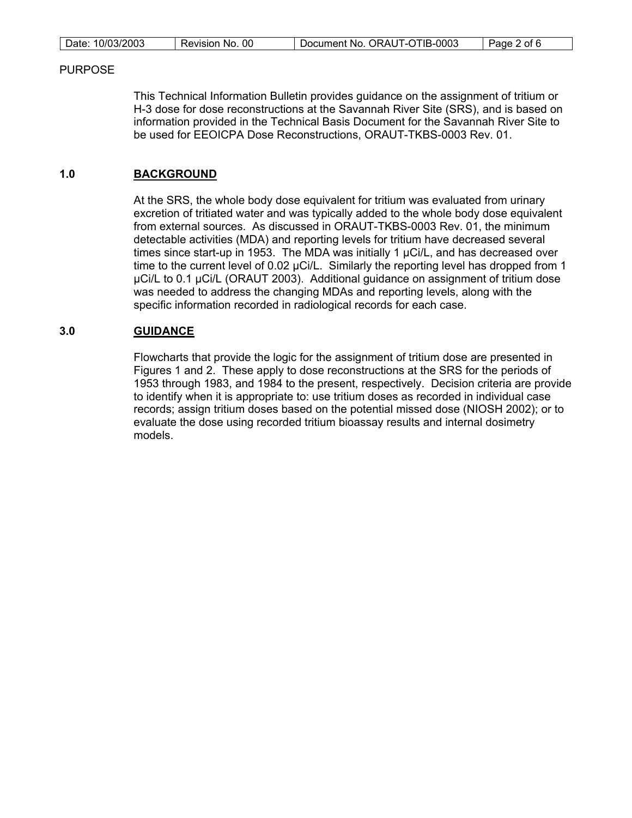| Date: 10/03/2003 | Revision No. 00 | Document No. ORAUT-OTIB-0003 | Page 2 of 6 |
|------------------|-----------------|------------------------------|-------------|
|                  |                 |                              |             |

### PURPOSE

 This Technical Information Bulletin provides guidance on the assignment of tritium or H-3 dose for dose reconstructions at the Savannah River Site (SRS), and is based on information provided in the Technical Basis Document for the Savannah River Site to be used for EEOICPA Dose Reconstructions, ORAUT-TKBS-0003 Rev. 01.

## **1.0 BACKGROUND**

At the SRS, the whole body dose equivalent for tritium was evaluated from urinary excretion of tritiated water and was typically added to the whole body dose equivalent from external sources. As discussed in ORAUT-TKBS-0003 Rev. 01, the minimum detectable activities (MDA) and reporting levels for tritium have decreased several times since start-up in 1953. The MDA was initially 1 µCi/L, and has decreased over time to the current level of 0.02 µCi/L. Similarly the reporting level has dropped from 1 µCi/L to 0.1 µCi/L (ORAUT 2003). Additional guidance on assignment of tritium dose was needed to address the changing MDAs and reporting levels, along with the specific information recorded in radiological records for each case.

## **3.0 GUIDANCE**

Flowcharts that provide the logic for the assignment of tritium dose are presented in Figures 1 and 2. These apply to dose reconstructions at the SRS for the periods of 1953 through 1983, and 1984 to the present, respectively. Decision criteria are provide to identify when it is appropriate to: use tritium doses as recorded in individual case records; assign tritium doses based on the potential missed dose (NIOSH 2002); or to evaluate the dose using recorded tritium bioassay results and internal dosimetry models.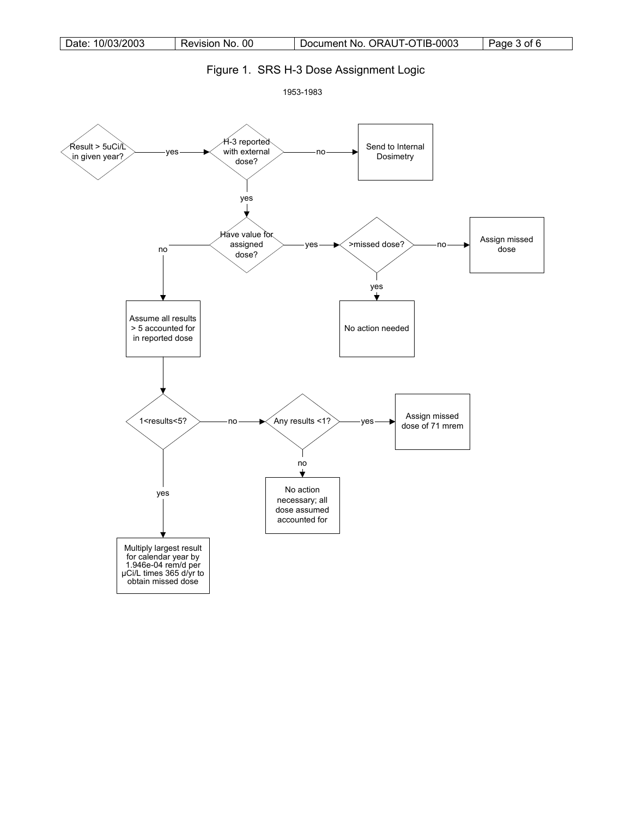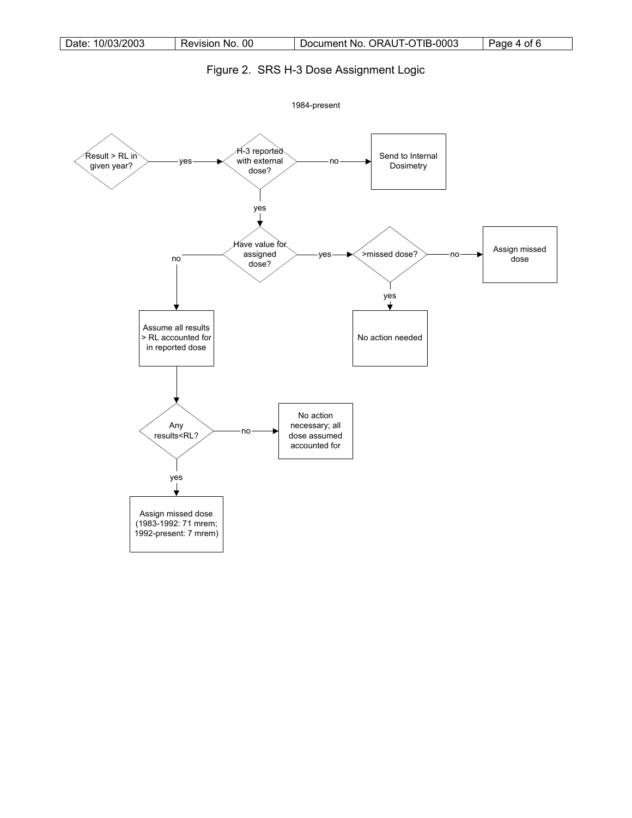

# Figure 2. SRS H-3 Dose Assignment Logic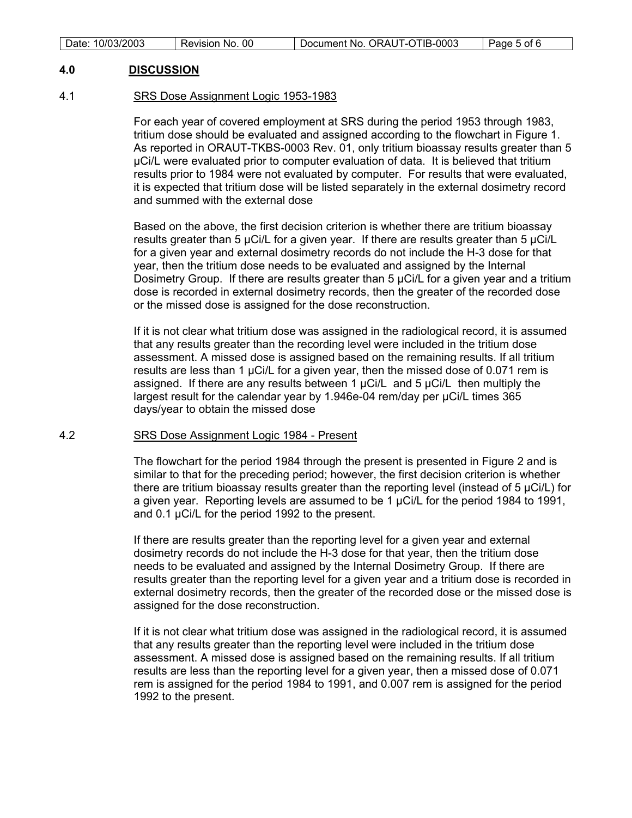| Date: 10/03/2003 | Revision No. 00 | Document No. ORAUT-OTIB-0003 | Page 5 of 6 |
|------------------|-----------------|------------------------------|-------------|
|                  |                 |                              |             |

#### **4.0 DISCUSSION**

#### 4.1 SRS Dose Assignment Logic 1953-1983

For each year of covered employment at SRS during the period 1953 through 1983, tritium dose should be evaluated and assigned according to the flowchart in Figure 1. As reported in ORAUT-TKBS-0003 Rev. 01, only tritium bioassay results greater than 5 µCi/L were evaluated prior to computer evaluation of data. It is believed that tritium results prior to 1984 were not evaluated by computer. For results that were evaluated, it is expected that tritium dose will be listed separately in the external dosimetry record and summed with the external dose

Based on the above, the first decision criterion is whether there are tritium bioassay results greater than 5 µCi/L for a given year. If there are results greater than 5 µCi/L for a given year and external dosimetry records do not include the H-3 dose for that year, then the tritium dose needs to be evaluated and assigned by the Internal Dosimetry Group. If there are results greater than 5 µCi/L for a given year and a tritium dose is recorded in external dosimetry records, then the greater of the recorded dose or the missed dose is assigned for the dose reconstruction.

If it is not clear what tritium dose was assigned in the radiological record, it is assumed that any results greater than the recording level were included in the tritium dose assessment. A missed dose is assigned based on the remaining results. If all tritium results are less than 1 µCi/L for a given year, then the missed dose of 0.071 rem is assigned. If there are any results between 1  $\mu$ Ci/L and 5  $\mu$ Ci/L then multiply the largest result for the calendar year by 1.946e-04 rem/day per µCi/L times 365 days/year to obtain the missed dose

#### 4.2 SRS Dose Assignment Logic 1984 - Present

The flowchart for the period 1984 through the present is presented in Figure 2 and is similar to that for the preceding period; however, the first decision criterion is whether there are tritium bioassay results greater than the reporting level (instead of  $5 \mu$ Ci/L) for a given year. Reporting levels are assumed to be 1 µCi/L for the period 1984 to 1991, and 0.1 µCi/L for the period 1992 to the present.

If there are results greater than the reporting level for a given year and external dosimetry records do not include the H-3 dose for that year, then the tritium dose needs to be evaluated and assigned by the Internal Dosimetry Group. If there are results greater than the reporting level for a given year and a tritium dose is recorded in external dosimetry records, then the greater of the recorded dose or the missed dose is assigned for the dose reconstruction.

If it is not clear what tritium dose was assigned in the radiological record, it is assumed that any results greater than the reporting level were included in the tritium dose assessment. A missed dose is assigned based on the remaining results. If all tritium results are less than the reporting level for a given year, then a missed dose of 0.071 rem is assigned for the period 1984 to 1991, and 0.007 rem is assigned for the period 1992 to the present.